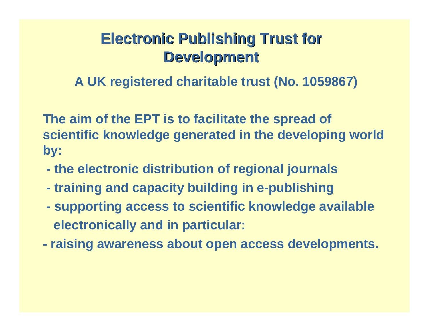# **Electronic Publishing Trust for Development Development**

**A UK registered charitable trust (No. 1059867)**

**The aim of the EPT is to facilitate the spread of scientific knowledge generated in the developing world by:**

- **the electronic distribution of regional journals**
- **training and capacity building in e-publishing**
- **supporting access to scientific knowledge available electronically and in particular:**
- **raising awareness about open access developments.**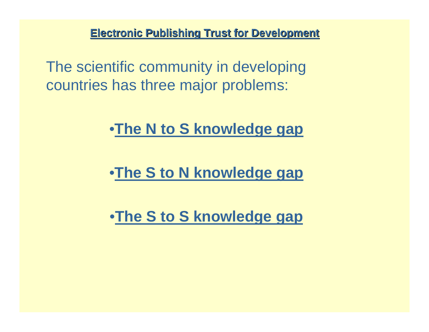The scientific community in developing countries has three major problems:

•**The N to S knowledge gap**

•**The S to N knowledge gap**

•**The S to S knowledge gap**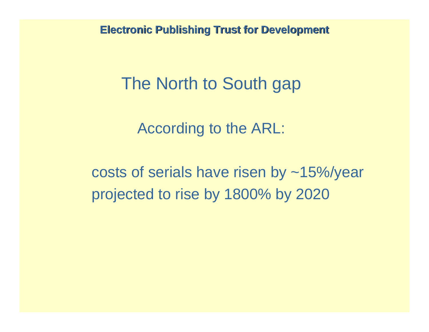# The North to South gap

According to the ARL:

costs of serials have risen by ~15%/year projected to rise by 1800% by 2020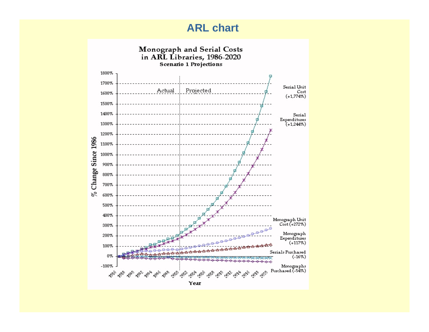#### **ARL chart**

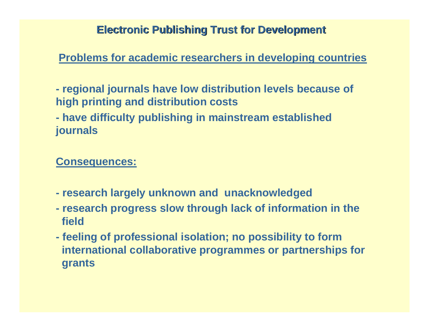**Problems for academic researchers in developing countries**

**- regional journals have low distribution levels because of high printing and distribution costs**

**- have difficulty publishing in mainstream established journals**

**Consequences:**

- **- research largely unknown and unacknowledged**
- **- research progress slow through lack of information in the field**
- **- feeling of professional isolation; no possibility to form international collaborative programmes or partnerships for grants**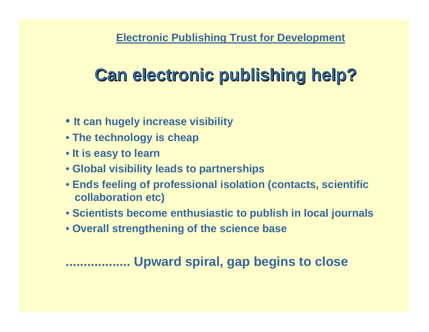### **Electronic Publishing Trust for Development**

# **Can electronic publishing help? Can electronic publishing help?**

- **It can hugely increase visibility**
- **The technology is cheap**
- **It is easy to learn**
- **Global visibility leads to partnerships**
- **Ends feeling of professional isolation (contacts, scientific collaboration etc)**
- **Scientists become enthusiastic to publish in local journals**
- **Overall strengthening of the science base**

## **. Upward spiral, gap begins to close**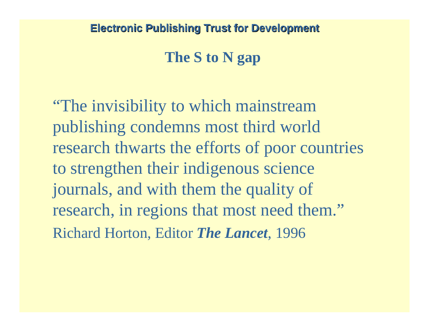## **The S to N gap**

"The invisibility to which mainstream publishing condemns most third world research thwarts the efforts of poor countries to strengthen their indigenous science journals, and with them the quality of research, in regions that most need them." Richard Horton, Editor *The Lancet*, 1996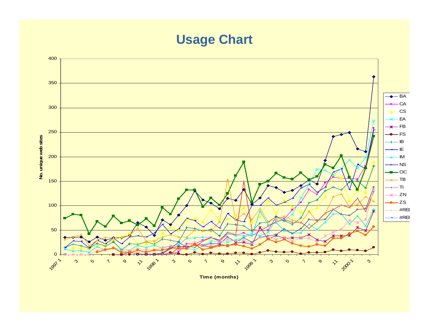## **Usage Chart**



**Time (months)**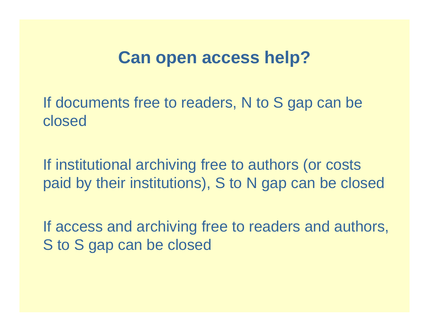## **Can open access help?**

If documents free to readers, N to S gap can be closed

If institutional archiving free to authors (or costs paid by their institutions), S to N gap can be closed

If access and archiving free to readers and authors, S to S gap can be closed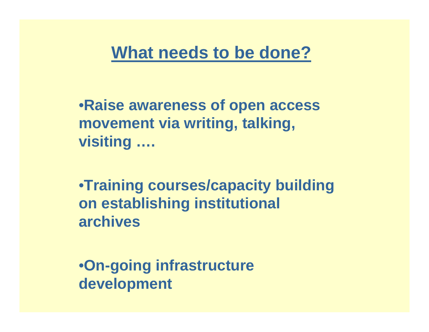# **What needs to be done?**

•**Raise awareness of open access movement via writing, talking, visiting ….**

•**Training courses/capacity building on establishing institutional archives**

•**On-going infrastructure development**